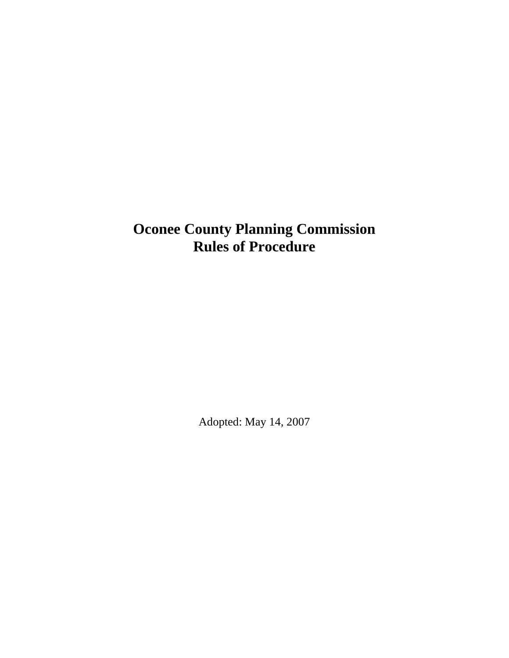# **Oconee County Planning Commission Rules of Procedure**

Adopted: May 14, 2007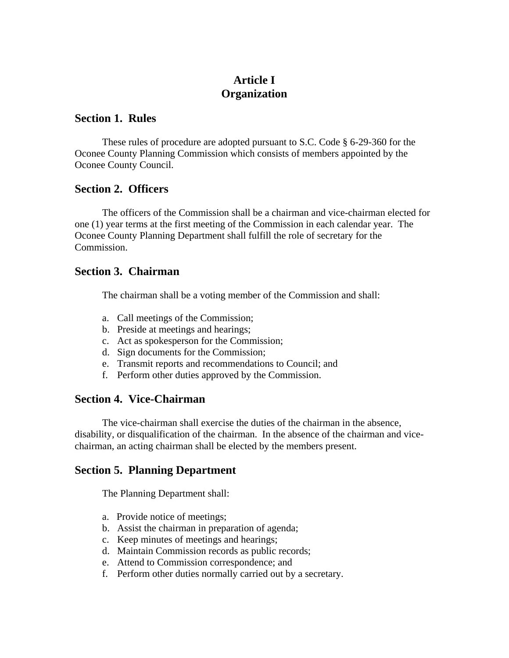# **Article I Organization**

### **Section 1. Rules**

 These rules of procedure are adopted pursuant to S.C. Code § 6-29-360 for the Oconee County Planning Commission which consists of members appointed by the Oconee County Council.

### **Section 2. Officers**

The officers of the Commission shall be a chairman and vice-chairman elected for one (1) year terms at the first meeting of the Commission in each calendar year. The Oconee County Planning Department shall fulfill the role of secretary for the Commission.

### **Section 3. Chairman**

The chairman shall be a voting member of the Commission and shall:

- a. Call meetings of the Commission;
- b. Preside at meetings and hearings;
- c. Act as spokesperson for the Commission;
- d. Sign documents for the Commission;
- e. Transmit reports and recommendations to Council; and
- f. Perform other duties approved by the Commission.

### **Section 4. Vice-Chairman**

The vice-chairman shall exercise the duties of the chairman in the absence, disability, or disqualification of the chairman. In the absence of the chairman and vicechairman, an acting chairman shall be elected by the members present.

### **Section 5. Planning Department**

The Planning Department shall:

- a. Provide notice of meetings;
- b. Assist the chairman in preparation of agenda;
- c. Keep minutes of meetings and hearings;
- d. Maintain Commission records as public records;
- e. Attend to Commission correspondence; and
- f. Perform other duties normally carried out by a secretary.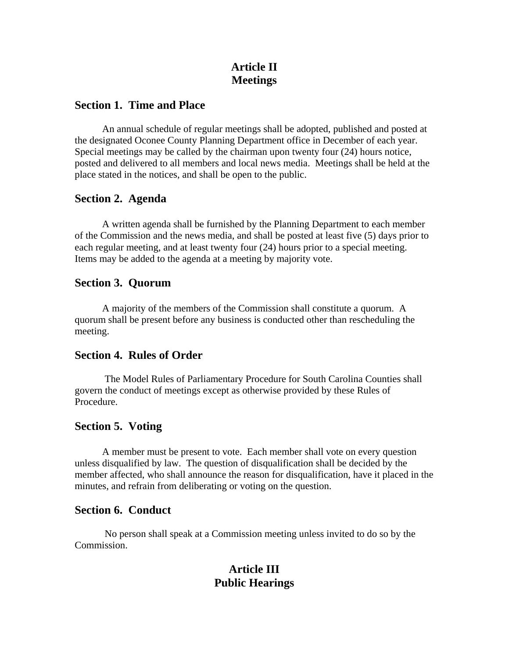# **Article II Meetings**

### **Section 1. Time and Place**

An annual schedule of regular meetings shall be adopted, published and posted at the designated Oconee County Planning Department office in December of each year. Special meetings may be called by the chairman upon twenty four (24) hours notice, posted and delivered to all members and local news media. Meetings shall be held at the place stated in the notices, and shall be open to the public.

### **Section 2. Agenda**

 A written agenda shall be furnished by the Planning Department to each member of the Commission and the news media, and shall be posted at least five (5) days prior to each regular meeting, and at least twenty four (24) hours prior to a special meeting. Items may be added to the agenda at a meeting by majority vote.

### **Section 3. Quorum**

A majority of the members of the Commission shall constitute a quorum. A quorum shall be present before any business is conducted other than rescheduling the meeting.

### **Section 4. Rules of Order**

The Model Rules of Parliamentary Procedure for South Carolina Counties shall govern the conduct of meetings except as otherwise provided by these Rules of Procedure.

### **Section 5. Voting**

A member must be present to vote. Each member shall vote on every question unless disqualified by law. The question of disqualification shall be decided by the member affected, who shall announce the reason for disqualification, have it placed in the minutes, and refrain from deliberating or voting on the question.

### **Section 6. Conduct**

No person shall speak at a Commission meeting unless invited to do so by the Commission.

## **Article III Public Hearings**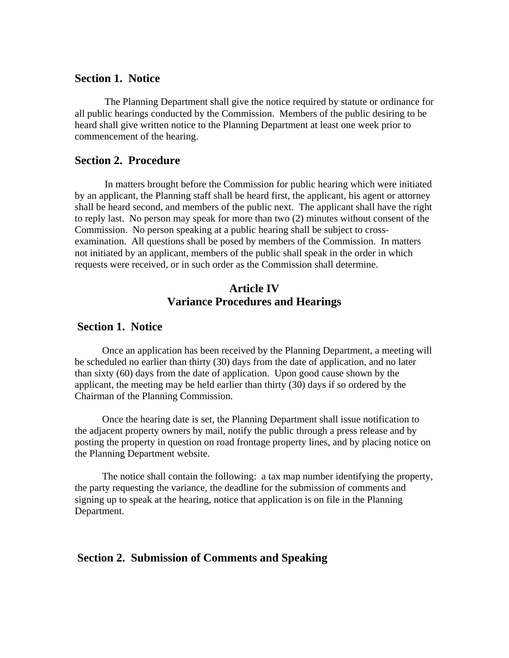#### **Section 1. Notice**

The Planning Department shall give the notice required by statute or ordinance for all public hearings conducted by the Commission. Members of the public desiring to be heard shall give written notice to the Planning Department at least one week prior to commencement of the hearing.

### **Section 2. Procedure**

In matters brought before the Commission for public hearing which were initiated by an applicant, the Planning staff shall be heard first, the applicant, his agent or attorney shall be heard second, and members of the public next. The applicant shall have the right to reply last. No person may speak for more than two (2) minutes without consent of the Commission. No person speaking at a public hearing shall be subject to crossexamination. All questions shall be posed by members of the Commission. In matters not initiated by an applicant, members of the public shall speak in the order in which requests were received, or in such order as the Commission shall determine.

### **Article IV Variance Procedures and Hearings**

#### **Section 1. Notice**

 Once an application has been received by the Planning Department, a meeting will be scheduled no earlier than thirty (30) days from the date of application, and no later than sixty (60) days from the date of application. Upon good cause shown by the applicant, the meeting may be held earlier than thirty (30) days if so ordered by the Chairman of the Planning Commission.

 Once the hearing date is set, the Planning Department shall issue notification to the adjacent property owners by mail, notify the public through a press release and by posting the property in question on road frontage property lines, and by placing notice on the Planning Department website.

 The notice shall contain the following: a tax map number identifying the property, the party requesting the variance, the deadline for the submission of comments and signing up to speak at the hearing, notice that application is on file in the Planning Department.

### **Section 2. Submission of Comments and Speaking**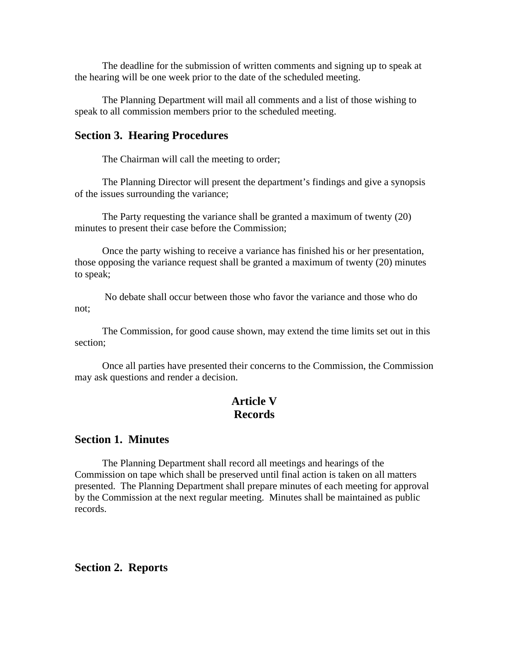The deadline for the submission of written comments and signing up to speak at the hearing will be one week prior to the date of the scheduled meeting.

 The Planning Department will mail all comments and a list of those wishing to speak to all commission members prior to the scheduled meeting.

#### **Section 3. Hearing Procedures**

The Chairman will call the meeting to order;

 The Planning Director will present the department's findings and give a synopsis of the issues surrounding the variance;

 The Party requesting the variance shall be granted a maximum of twenty (20) minutes to present their case before the Commission;

 Once the party wishing to receive a variance has finished his or her presentation, those opposing the variance request shall be granted a maximum of twenty (20) minutes to speak;

 No debate shall occur between those who favor the variance and those who do not;

 The Commission, for good cause shown, may extend the time limits set out in this section;

 Once all parties have presented their concerns to the Commission, the Commission may ask questions and render a decision.

### **Article V Records**

### **Section 1. Minutes**

The Planning Department shall record all meetings and hearings of the Commission on tape which shall be preserved until final action is taken on all matters presented. The Planning Department shall prepare minutes of each meeting for approval by the Commission at the next regular meeting. Minutes shall be maintained as public records.

### **Section 2. Reports**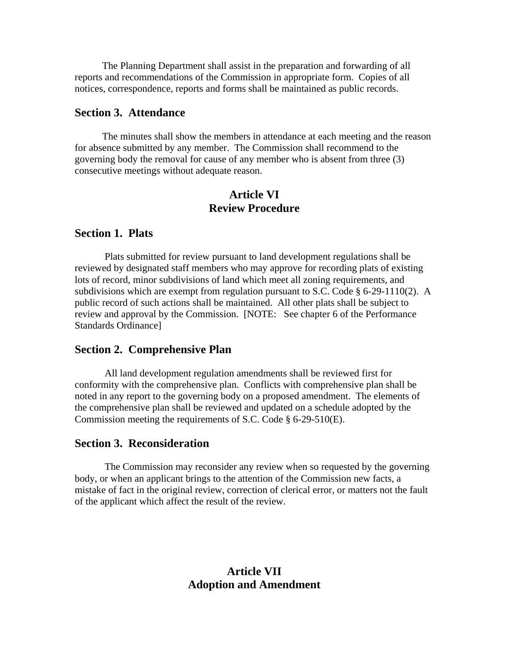The Planning Department shall assist in the preparation and forwarding of all reports and recommendations of the Commission in appropriate form. Copies of all notices, correspondence, reports and forms shall be maintained as public records.

#### **Section 3. Attendance**

The minutes shall show the members in attendance at each meeting and the reason for absence submitted by any member. The Commission shall recommend to the governing body the removal for cause of any member who is absent from three (3) consecutive meetings without adequate reason.

### **Article VI Review Procedure**

#### **Section 1. Plats**

Plats submitted for review pursuant to land development regulations shall be reviewed by designated staff members who may approve for recording plats of existing lots of record, minor subdivisions of land which meet all zoning requirements, and subdivisions which are exempt from regulation pursuant to S.C. Code  $\S$  6-29-1110(2). A public record of such actions shall be maintained. All other plats shall be subject to review and approval by the Commission. [NOTE: See chapter 6 of the Performance Standards Ordinance]

#### **Section 2. Comprehensive Plan**

All land development regulation amendments shall be reviewed first for conformity with the comprehensive plan. Conflicts with comprehensive plan shall be noted in any report to the governing body on a proposed amendment. The elements of the comprehensive plan shall be reviewed and updated on a schedule adopted by the Commission meeting the requirements of S.C. Code § 6-29-510(E).

#### **Section 3. Reconsideration**

The Commission may reconsider any review when so requested by the governing body, or when an applicant brings to the attention of the Commission new facts, a mistake of fact in the original review, correction of clerical error, or matters not the fault of the applicant which affect the result of the review.

### **Article VII Adoption and Amendment**